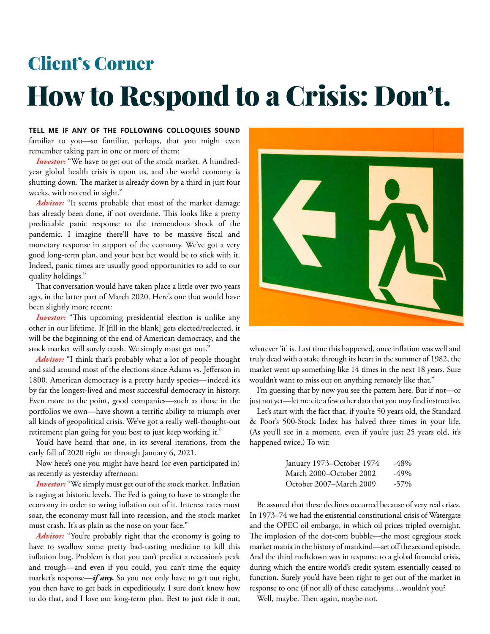## How to Respond to a Crisis: Don't. Client's Corner

**TELL ME IF ANY OF THE FOLLOWING COLLOQUIES SOUND**  familiar to you—so familiar, perhaps, that you might even remember taking part in one or more of them:

*Investor:* "We have to get out of the stock market. A hundredyear global health crisis is upon us, and the world economy is shutting down. The market is already down by a third in just four weeks, with no end in sight."

*Advisor:* "It seems probable that most of the market damage has already been done, if not overdone. This looks like a pretty predictable panic response to the tremendous shock of the pandemic. I imagine there'll have to be massive fiscal and monetary response in support of the economy. We've got a very good long-term plan, and your best bet would be to stick with it. Indeed, panic times are usually good opportunities to add to our quality holdings."

That conversation would have taken place a little over two years ago, in the latter part of March 2020. Here's one that would have been slightly more recent:

*Investor:* "This upcoming presidential election is unlike any other in our lifetime. If [fill in the blank] gets elected/reelected, it will be the beginning of the end of American democracy, and the stock market will surely crash. We simply must get out."

*Advisor:* "I think that's probably what a lot of people thought and said around most of the elections since Adams vs. Jefferson in 1800. American democracy is a pretty hardy species—indeed it's by far the longest-lived and most successful democracy in history. Even more to the point, good companies—such as those in the portfolios we own—have shown a terrific ability to triumph over all kinds of geopolitical crisis. We've got a really well-thought-out retirement plan going for you; best to just keep working it."

You'd have heard that one, in its several iterations, from the early fall of 2020 right on through January 6, 2021.

Now here's one you might have heard (or even participated in) as recently as yesterday afternoon:

*Investor:* "We simply must get out of the stock market. Inflation is raging at historic levels. The Fed is going to have to strangle the economy in order to wring inflation out of it. Interest rates must soar, the economy must fall into recession, and the stock market must crash. It's as plain as the nose on your face."

*Advisor:* "You're probably right that the economy is going to have to swallow some pretty bad-tasting medicine to kill this inflation bug. Problem is that you can't predict a recession's peak and trough—and even if you could, you can't time the equity market's response—*if any.* So you not only have to get out right, you then have to get back in expeditiously. I sure don't know how to do that, and I love our long-term plan. Best to just ride it out,



whatever 'it' is. Last time this happened, once inflation was well and truly dead with a stake through its heart in the summer of 1982, the market went up something like 14 times in the next 18 years. Sure wouldn't want to miss out on anything remotely like that."

I'm guessing that by now you see the pattern here. But if not—or just not yet—let me cite a few other data that you may find instructive.

Let's start with the fact that, if you're 50 years old, the Standard & Poor's 500-Stock Index has halved three times in your life. (As you'll see in a moment, even if you're just 25 years old, it's happened twice.) To wit:

| January 1973–October 1974 | -48%    |
|---------------------------|---------|
| March 2000–October 2002   | -49%    |
| October 2007–March 2009   | $-57\%$ |

Be assured that these declines occurred because of very real crises. In 1973–74 we had the existential constitutional crisis of Watergate and the OPEC oil embargo, in which oil prices tripled overnight. The implosion of the dot-com bubble—the most egregious stock market mania in the history of mankind—set off the second episode. And the third meltdown was in response to a global financial crisis, during which the entire world's credit system essentially ceased to function. Surely you'd have been right to get out of the market in response to one (if not all) of these cataclysms…wouldn't you?

Well, maybe. Then again, maybe not.